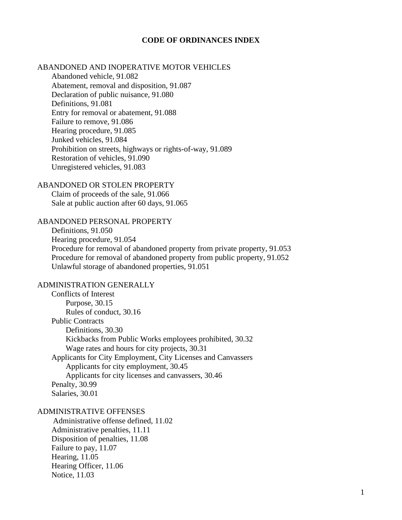#### **CODE OF ORDINANCES INDEX**

## ABANDONED AND INOPERATIVE MOTOR VEHICLES

Abandoned vehicle, 91.082 Abatement, removal and disposition, 91.087 Declaration of public nuisance, 91.080 Definitions, 91.081 Entry for removal or abatement, 91.088 Failure to remove, 91.086 Hearing procedure, 91.085 Junked vehicles, 91.084 Prohibition on streets, highways or rights-of-way, 91.089 Restoration of vehicles, 91.090 Unregistered vehicles, 91.083

## ABANDONED OR STOLEN PROPERTY

Claim of proceeds of the sale, 91.066 Sale at public auction after 60 days, 91.065

## ABANDONED PERSONAL PROPERTY

Definitions, 91.050 Hearing procedure, 91.054 Procedure for removal of abandoned property from private property, 91.053 Procedure for removal of abandoned property from public property, 91.052 Unlawful storage of abandoned properties, 91.051

## ADMINISTRATION GENERALLY

Conflicts of Interest Purpose, 30.15 Rules of conduct, 30.16 Public Contracts Definitions, 30.30 Kickbacks from Public Works employees prohibited, 30.32 Wage rates and hours for city projects, 30.31 Applicants for City Employment, City Licenses and Canvassers Applicants for city employment, 30.45 Applicants for city licenses and canvassers, 30.46 Penalty, 30.99 Salaries, 30.01

# ADMINISTRATIVE OFFENSES

 Administrative offense defined, 11.02 Administrative penalties, 11.11 Disposition of penalties, 11.08 Failure to pay, 11.07 Hearing, 11.05 Hearing Officer, 11.06 Notice, 11.03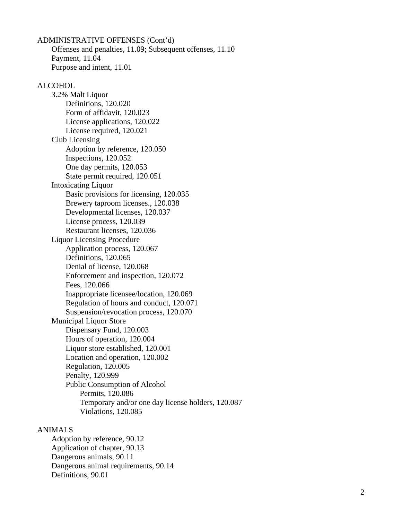ADMINISTRATIVE OFFENSES (Cont'd) Offenses and penalties, 11.09; Subsequent offenses, 11.10 Payment, 11.04 Purpose and intent, 11.01

#### ALCOHOL

3.2% Malt Liquor Definitions, 120.020 Form of affidavit, 120.023 License applications, 120.022 License required, 120.021 Club Licensing Adoption by reference, 120.050 Inspections, 120.052 One day permits, 120.053 State permit required, 120.051 Intoxicating Liquor Basic provisions for licensing, 120.035 Brewery taproom licenses., 120.038 Developmental licenses, 120.037 License process, 120.039 Restaurant licenses, 120.036 Liquor Licensing Procedure Application process, 120.067 Definitions, 120.065 Denial of license, 120.068 Enforcement and inspection, 120.072 Fees, 120.066 Inappropriate licensee/location, 120.069 Regulation of hours and conduct, 120.071 Suspension/revocation process, 120.070 Municipal Liquor Store Dispensary Fund, 120.003 Hours of operation, 120.004 Liquor store established, 120.001 Location and operation, 120.002 Regulation, 120.005 Penalty, 120.999 Public Consumption of Alcohol Permits, 120.086 Temporary and/or one day license holders, 120.087 Violations, 120.085

#### ANIMALS

Adoption by reference, 90.12 Application of chapter, 90.13 Dangerous animals, 90.11 Dangerous animal requirements, 90.14 Definitions, 90.01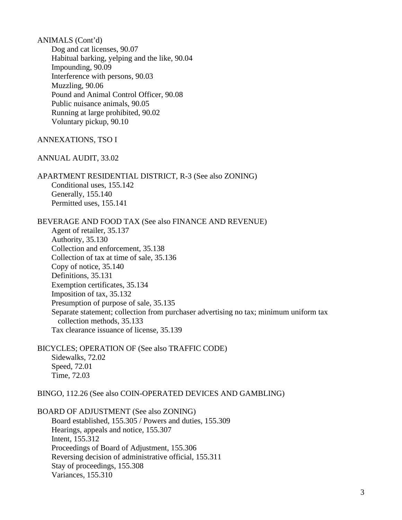ANIMALS (Cont'd) Dog and cat licenses, 90.07 Habitual barking, yelping and the like, 90.04 Impounding, 90.09 Interference with persons, 90.03 Muzzling, 90.06 Pound and Animal Control Officer, 90.08 Public nuisance animals, 90.05 Running at large prohibited, 90.02 Voluntary pickup, 90.10 ANNEXATIONS, TSO I ANNUAL AUDIT, 33.02 APARTMENT RESIDENTIAL DISTRICT, R-3 (See also ZONING) Conditional uses, 155.142 Generally, 155.140 Permitted uses, 155.141 BEVERAGE AND FOOD TAX (See also FINANCE AND REVENUE) Agent of retailer, 35.137 Authority, 35.130 Collection and enforcement, 35.138 Collection of tax at time of sale, 35.136 Copy of notice, 35.140 Definitions, 35.131 Exemption certificates, 35.134 Imposition of tax, 35.132 Presumption of purpose of sale, 35.135 Separate statement; collection from purchaser advertising no tax; minimum uniform tax collection methods, 35.133 Tax clearance issuance of license, 35.139 BICYCLES; OPERATION OF (See also TRAFFIC CODE) Sidewalks, 72.02

Speed, 72.01 Time, 72.03

BINGO, 112.26 (See also COIN-OPERATED DEVICES AND GAMBLING)

BOARD OF ADJUSTMENT (See also ZONING) Board established, 155.305 / Powers and duties, 155.309 Hearings, appeals and notice, 155.307 Intent, 155.312 Proceedings of Board of Adjustment, 155.306 Reversing decision of administrative official, 155.311 Stay of proceedings, 155.308 Variances, 155.310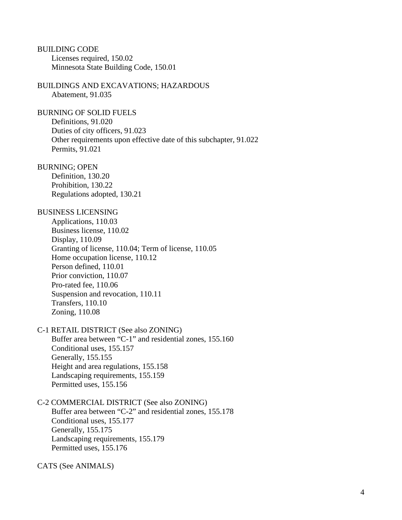BUILDING CODE Licenses required, 150.02 Minnesota State Building Code, 150.01

BUILDINGS AND EXCAVATIONS; HAZARDOUS Abatement, 91.035

BURNING OF SOLID FUELS Definitions, 91.020 Duties of city officers, 91.023 Other requirements upon effective date of this subchapter, 91.022 Permits, 91.021

BURNING; OPEN

Definition, 130.20 Prohibition, 130.22 Regulations adopted, 130.21

#### BUSINESS LICENSING

Applications, 110.03 Business license, 110.02 Display, 110.09 Granting of license, 110.04; Term of license, 110.05 Home occupation license, 110.12 Person defined, 110.01 Prior conviction, 110.07 Pro-rated fee, 110.06 Suspension and revocation, 110.11 Transfers, 110.10 Zoning, 110.08

C-1 RETAIL DISTRICT (See also ZONING) Buffer area between "C-1" and residential zones, 155.160 Conditional uses, 155.157 Generally, 155.155 Height and area regulations, 155.158 Landscaping requirements, 155.159 Permitted uses, 155.156

C-2 COMMERCIAL DISTRICT (See also ZONING) Buffer area between "C-2" and residential zones, 155.178

Conditional uses, 155.177 Generally, 155.175 Landscaping requirements, 155.179 Permitted uses, 155.176

CATS (See ANIMALS)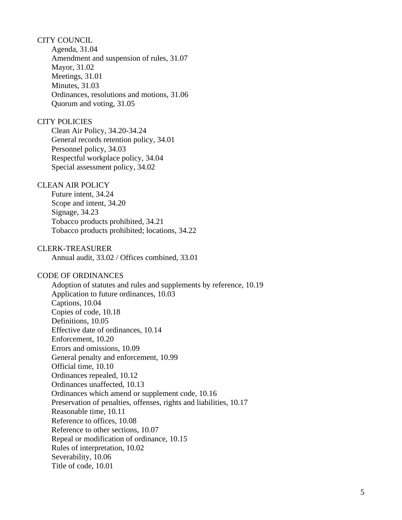# CITY COUNCIL

Agenda, 31.04 Amendment and suspension of rules, 31.07 Mayor, 31.02 Meetings, 31.01 Minutes, 31.03 Ordinances, resolutions and motions, 31.06 Quorum and voting, 31.05

## CITY POLICIES

Clean Air Policy, 34.20-34.24 General records retention policy, 34.01 Personnel policy, 34.03 Respectful workplace policy, 34.04 Special assessment policy, 34.02

# CLEAN AIR POLICY

Future intent, 34.24 Scope and intent, 34.20 Signage, 34.23 Tobacco products prohibited, 34.21 Tobacco products prohibited; locations, 34.22

#### CLERK-TREASURER

Annual audit, 33.02 / Offices combined, 33.01

## CODE OF ORDINANCES

Adoption of statutes and rules and supplements by reference, 10.19 Application to future ordinances, 10.03 Captions, 10.04 Copies of code, 10.18 Definitions, 10.05 Effective date of ordinances, 10.14 Enforcement, 10.20 Errors and omissions, 10.09 General penalty and enforcement, 10.99 Official time, 10.10 Ordinances repealed, 10.12 Ordinances unaffected, 10.13 Ordinances which amend or supplement code, 10.16 Preservation of penalties, offenses, rights and liabilities, 10.17 Reasonable time, 10.11 Reference to offices, 10.08 Reference to other sections, 10.07 Repeal or modification of ordinance, 10.15 Rules of interpretation, 10.02 Severability, 10.06 Title of code, 10.01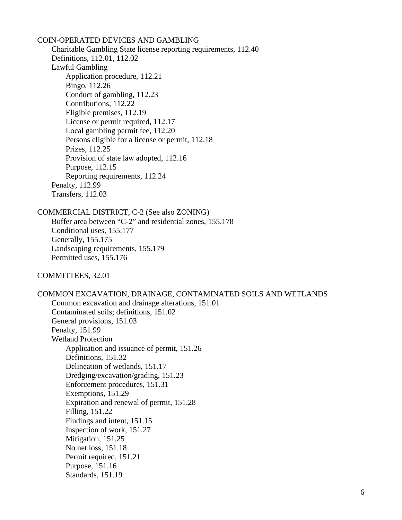COIN-OPERATED DEVICES AND GAMBLING Charitable Gambling State license reporting requirements, 112.40 Definitions, 112.01, 112.02 Lawful Gambling Application procedure, 112.21 Bingo, 112.26 Conduct of gambling, 112.23 Contributions, 112.22 Eligible premises, 112.19 License or permit required, 112.17 Local gambling permit fee, 112.20 Persons eligible for a license or permit, 112.18 Prizes, 112.25 Provision of state law adopted, 112.16 Purpose, 112.15 Reporting requirements, 112.24 Penalty, 112.99 Transfers, 112.03

COMMERCIAL DISTRICT, C-2 (See also ZONING)

Buffer area between "C-2" and residential zones, 155.178 Conditional uses, 155.177 Generally, 155.175 Landscaping requirements, 155.179 Permitted uses, 155.176

COMMITTEES, 32.01

COMMON EXCAVATION, DRAINAGE, CONTAMINATED SOILS AND WETLANDS Common excavation and drainage alterations, 151.01 Contaminated soils; definitions, 151.02 General provisions, 151.03 Penalty, 151.99 Wetland Protection Application and issuance of permit, 151.26 Definitions, 151.32 Delineation of wetlands, 151.17 Dredging/excavation/grading, 151.23 Enforcement procedures, 151.31 Exemptions, 151.29 Expiration and renewal of permit, 151.28 Filling, 151.22 Findings and intent, 151.15 Inspection of work, 151.27 Mitigation, 151.25 No net loss, 151.18 Permit required, 151.21 Purpose, 151.16 Standards, 151.19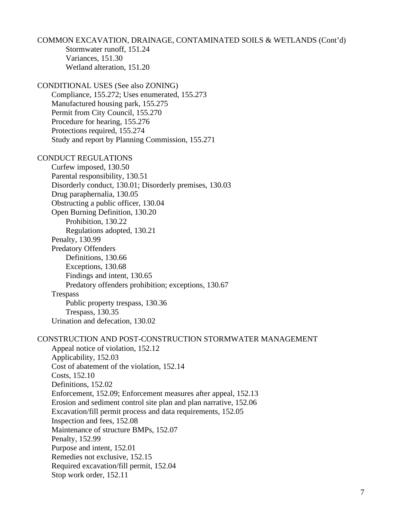COMMON EXCAVATION, DRAINAGE, CONTAMINATED SOILS & WETLANDS (Cont'd) Stormwater runoff, 151.24 Variances, 151.30 Wetland alteration, 151.20 CONDITIONAL USES (See also ZONING) Compliance, 155.272; Uses enumerated, 155.273 Manufactured housing park, 155.275 Permit from City Council, 155.270 Procedure for hearing, 155.276 Protections required, 155.274 Study and report by Planning Commission, 155.271 CONDUCT REGULATIONS Curfew imposed, 130.50 Parental responsibility, 130.51 Disorderly conduct, 130.01; Disorderly premises, 130.03 Drug paraphernalia, 130.05 Obstructing a public officer, 130.04 Open Burning Definition, 130.20 Prohibition, 130.22 Regulations adopted, 130.21 Penalty, 130.99 Predatory Offenders Definitions, 130.66 Exceptions, 130.68 Findings and intent, 130.65 Predatory offenders prohibition; exceptions, 130.67 Trespass Public property trespass, 130.36 Trespass, 130.35 Urination and defecation, 130.02 CONSTRUCTION AND POST-CONSTRUCTION STORMWATER MANAGEMENT Appeal notice of violation, 152.12 Applicability, 152.03 Cost of abatement of the violation, 152.14 Costs, 152.10 Definitions, 152.02 Enforcement, 152.09; Enforcement measures after appeal, 152.13 Erosion and sediment control site plan and plan narrative, 152.06 Excavation/fill permit process and data requirements, 152.05 Inspection and fees, 152.08 Maintenance of structure BMPs, 152.07 Penalty, 152.99 Purpose and intent, 152.01 Remedies not exclusive, 152.15 Required excavation/fill permit, 152.04 Stop work order, 152.11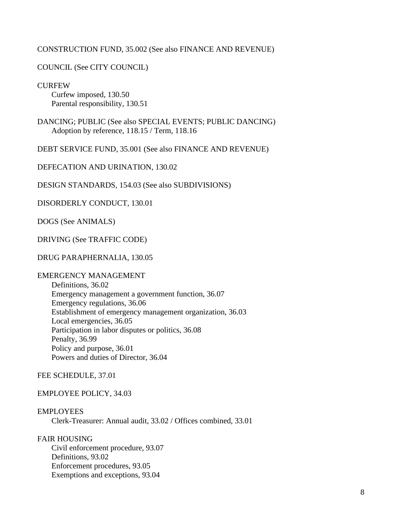# CONSTRUCTION FUND, 35.002 (See also FINANCE AND REVENUE)

# COUNCIL (See CITY COUNCIL)

**CURFEW** Curfew imposed, 130.50 Parental responsibility, 130.51

DANCING; PUBLIC (See also SPECIAL EVENTS; PUBLIC DANCING) Adoption by reference, 118.15 / Term, 118.16

DEBT SERVICE FUND, 35.001 (See also FINANCE AND REVENUE)

DEFECATION AND URINATION, 130.02

DESIGN STANDARDS, 154.03 (See also SUBDIVISIONS)

DISORDERLY CONDUCT, 130.01

DOGS (See ANIMALS)

DRIVING (See TRAFFIC CODE)

# DRUG PARAPHERNALIA, 130.05

# EMERGENCY MANAGEMENT

Definitions, 36.02 Emergency management a government function, 36.07 Emergency regulations, 36.06 Establishment of emergency management organization, 36.03 Local emergencies, 36.05 Participation in labor disputes or politics, 36.08 Penalty, 36.99 Policy and purpose, 36.01 Powers and duties of Director, 36.04

FEE SCHEDULE, 37.01

EMPLOYEE POLICY, 34.03

## EMPLOYEES

Clerk-Treasurer: Annual audit, 33.02 / Offices combined, 33.01

FAIR HOUSING

Civil enforcement procedure, 93.07 Definitions, 93.02 Enforcement procedures, 93.05 Exemptions and exceptions, 93.04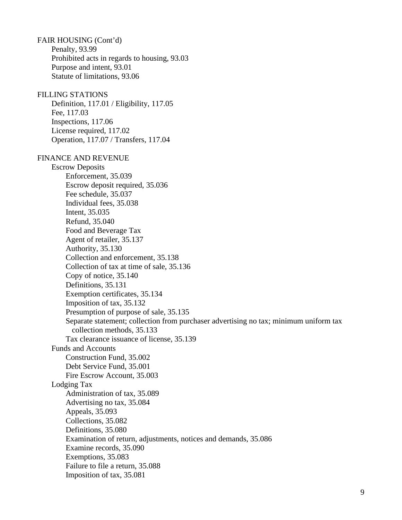FAIR HOUSING (Cont'd) Penalty, 93.99 Prohibited acts in regards to housing, 93.03 Purpose and intent, 93.01 Statute of limitations, 93.06

# FILLING STATIONS

Definition, 117.01 / Eligibility, 117.05 Fee, 117.03 Inspections, 117.06 License required, 117.02 Operation, 117.07 / Transfers, 117.04

#### FINANCE AND REVENUE

Escrow Deposits Enforcement, 35.039 Escrow deposit required, 35.036 Fee schedule, 35.037 Individual fees, 35.038 Intent, 35.035 Refund, 35.040 Food and Beverage Tax Agent of retailer, 35.137 Authority, 35.130 Collection and enforcement, 35.138 Collection of tax at time of sale, 35.136 Copy of notice, 35.140 Definitions, 35.131 Exemption certificates, 35.134 Imposition of tax, 35.132 Presumption of purpose of sale, 35.135 Separate statement; collection from purchaser advertising no tax; minimum uniform tax collection methods, 35.133 Tax clearance issuance of license, 35.139 Funds and Accounts Construction Fund, 35.002 Debt Service Fund, 35.001 Fire Escrow Account, 35.003 Lodging Tax Administration of tax, 35.089 Advertising no tax, 35.084 Appeals, 35.093 Collections, 35.082 Definitions, 35.080 Examination of return, adjustments, notices and demands, 35.086 Examine records, 35.090 Exemptions, 35.083 Failure to file a return, 35.088 Imposition of tax, 35.081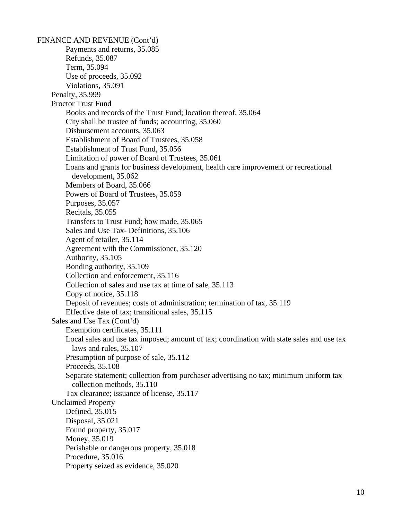FINANCE AND REVENUE (Cont'd) Payments and returns, 35.085 Refunds, 35.087 Term, 35.094 Use of proceeds, 35.092 Violations, 35.091 Penalty, 35.999 Proctor Trust Fund Books and records of the Trust Fund; location thereof, 35.064 City shall be trustee of funds; accounting, 35.060 Disbursement accounts, 35.063 Establishment of Board of Trustees, 35.058 Establishment of Trust Fund, 35.056 Limitation of power of Board of Trustees, 35.061 Loans and grants for business development, health care improvement or recreational development, 35.062 Members of Board, 35.066 Powers of Board of Trustees, 35.059 Purposes, 35.057 Recitals, 35.055 Transfers to Trust Fund; how made, 35.065 Sales and Use Tax- Definitions, 35.106 Agent of retailer, 35.114 Agreement with the Commissioner, 35.120 Authority, 35.105 Bonding authority, 35.109 Collection and enforcement, 35.116 Collection of sales and use tax at time of sale, 35.113 Copy of notice, 35.118 Deposit of revenues; costs of administration; termination of tax, 35.119 Effective date of tax; transitional sales, 35.115 Sales and Use Tax (Cont'd) Exemption certificates, 35.111 Local sales and use tax imposed; amount of tax; coordination with state sales and use tax laws and rules, 35.107 Presumption of purpose of sale, 35.112 Proceeds, 35.108 Separate statement; collection from purchaser advertising no tax; minimum uniform tax collection methods, 35.110 Tax clearance; issuance of license, 35.117 Unclaimed Property Defined, 35.015 Disposal, 35.021 Found property, 35.017 Money, 35.019 Perishable or dangerous property, 35.018 Procedure, 35.016 Property seized as evidence, 35.020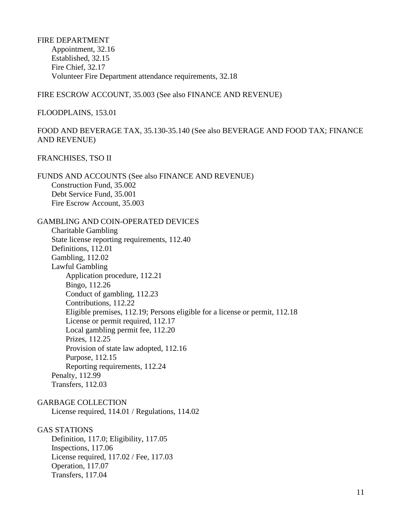FIRE DEPARTMENT Appointment, 32.16 Established, 32.15 Fire Chief, 32.17 Volunteer Fire Department attendance requirements, 32.18

## FIRE ESCROW ACCOUNT, 35.003 (See also FINANCE AND REVENUE)

#### FLOODPLAINS, 153.01

# FOOD AND BEVERAGE TAX, 35.130-35.140 (See also BEVERAGE AND FOOD TAX; FINANCE AND REVENUE)

## FRANCHISES, TSO II

FUNDS AND ACCOUNTS (See also FINANCE AND REVENUE) Construction Fund, 35.002 Debt Service Fund, 35.001 Fire Escrow Account, 35.003

GAMBLING AND COIN-OPERATED DEVICES Charitable Gambling State license reporting requirements, 112.40 Definitions, 112.01 Gambling, 112.02 Lawful Gambling Application procedure, 112.21 Bingo, 112.26 Conduct of gambling, 112.23 Contributions, 112.22 Eligible premises, 112.19; Persons eligible for a license or permit, 112.18 License or permit required, 112.17 Local gambling permit fee, 112.20 Prizes, 112.25 Provision of state law adopted, 112.16 Purpose, 112.15 Reporting requirements, 112.24 Penalty, 112.99 Transfers, 112.03

GARBAGE COLLECTION

License required, 114.01 / Regulations, 114.02

## GAS STATIONS

Definition, 117.0; Eligibility, 117.05 Inspections, 117.06 License required, 117.02 / Fee, 117.03 Operation, 117.07 Transfers, 117.04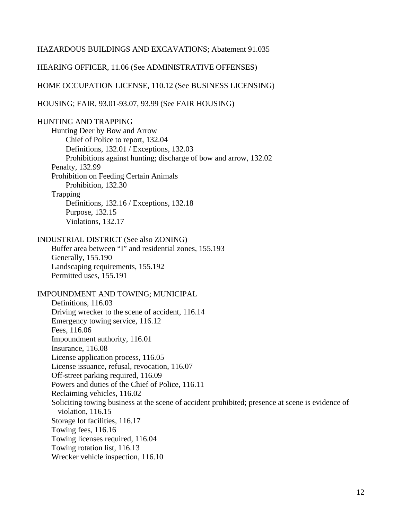## HAZARDOUS BUILDINGS AND EXCAVATIONS; Abatement 91.035

HEARING OFFICER, 11.06 (See ADMINISTRATIVE OFFENSES)

HOME OCCUPATION LICENSE, 110.12 (See BUSINESS LICENSING)

HOUSING; FAIR, 93.01-93.07, 93.99 (See FAIR HOUSING)

HUNTING AND TRAPPING Hunting Deer by Bow and Arrow Chief of Police to report, 132.04 Definitions, 132.01 / Exceptions, 132.03 Prohibitions against hunting; discharge of bow and arrow, 132.02 Penalty, 132.99 Prohibition on Feeding Certain Animals Prohibition, 132.30 Trapping Definitions, 132.16 / Exceptions, 132.18 Purpose, 132.15 Violations, 132.17 INDUSTRIAL DISTRICT (See also ZONING) Buffer area between "I" and residential zones, 155.193 Generally, 155.190 Landscaping requirements, 155.192 Permitted uses, 155.191 IMPOUNDMENT AND TOWING; MUNICIPAL Definitions, 116.03 Driving wrecker to the scene of accident, 116.14 Emergency towing service, 116.12 Fees, 116.06 Impoundment authority, 116.01 Insurance, 116.08 License application process, 116.05 License issuance, refusal, revocation, 116.07 Off-street parking required, 116.09 Powers and duties of the Chief of Police, 116.11 Reclaiming vehicles, 116.02 Soliciting towing business at the scene of accident prohibited; presence at scene is evidence of violation, 116.15 Storage lot facilities, 116.17 Towing fees, 116.16 Towing licenses required, 116.04 Towing rotation list, 116.13 Wrecker vehicle inspection, 116.10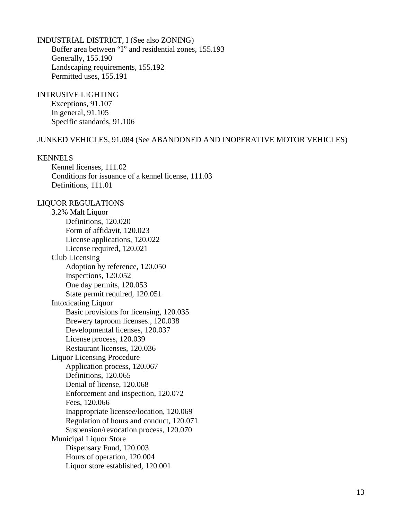## INDUSTRIAL DISTRICT, I (See also ZONING)

Buffer area between "I" and residential zones, 155.193 Generally, 155.190 Landscaping requirements, 155.192 Permitted uses, 155.191

# INTRUSIVE LIGHTING

Exceptions, 91.107 In general, 91.105 Specific standards, 91.106

## JUNKED VEHICLES, 91.084 (See ABANDONED AND INOPERATIVE MOTOR VEHICLES)

## KENNELS

Kennel licenses, 111.02 Conditions for issuance of a kennel license, 111.03 Definitions, 111.01

LIQUOR REGULATIONS 3.2% Malt Liquor Definitions, 120.020 Form of affidavit, 120.023 License applications, 120.022 License required, 120.021 Club Licensing Adoption by reference, 120.050 Inspections, 120.052 One day permits, 120.053 State permit required, 120.051 Intoxicating Liquor Basic provisions for licensing, 120.035 Brewery taproom licenses., 120.038 Developmental licenses, 120.037 License process, 120.039 Restaurant licenses, 120.036 Liquor Licensing Procedure Application process, 120.067 Definitions, 120.065 Denial of license, 120.068 Enforcement and inspection, 120.072 Fees, 120.066 Inappropriate licensee/location, 120.069 Regulation of hours and conduct, 120.071 Suspension/revocation process, 120.070 Municipal Liquor Store Dispensary Fund, 120.003 Hours of operation, 120.004 Liquor store established, 120.001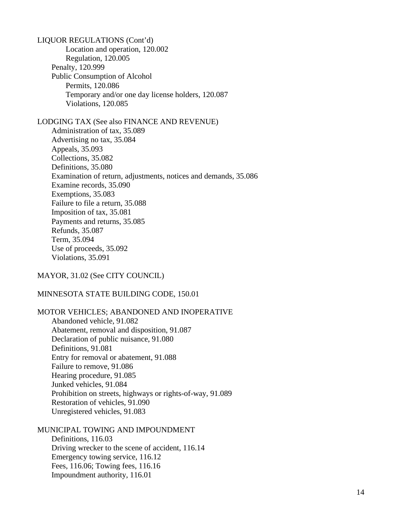LIQUOR REGULATIONS (Cont'd) Location and operation, 120.002 Regulation, 120.005 Penalty, 120.999 Public Consumption of Alcohol Permits, 120.086 Temporary and/or one day license holders, 120.087 Violations, 120.085 LODGING TAX (See also FINANCE AND REVENUE) Administration of tax, 35.089 Advertising no tax, 35.084 Appeals, 35.093 Collections, 35.082 Definitions, 35.080 Examination of return, adjustments, notices and demands, 35.086 Examine records, 35.090 Exemptions, 35.083 Failure to file a return, 35.088 Imposition of tax, 35.081 Payments and returns, 35.085 Refunds, 35.087 Term, 35.094 Use of proceeds, 35.092 Violations, 35.091

MAYOR, 31.02 (See CITY COUNCIL)

# MINNESOTA STATE BUILDING CODE, 150.01

MOTOR VEHICLES; ABANDONED AND INOPERATIVE Abandoned vehicle, 91.082 Abatement, removal and disposition, 91.087 Declaration of public nuisance, 91.080 Definitions, 91.081 Entry for removal or abatement, 91.088 Failure to remove, 91.086 Hearing procedure, 91.085 Junked vehicles, 91.084 Prohibition on streets, highways or rights-of-way, 91.089 Restoration of vehicles, 91.090 Unregistered vehicles, 91.083

MUNICIPAL TOWING AND IMPOUNDMENT Definitions, 116.03 Driving wrecker to the scene of accident, 116.14 Emergency towing service, 116.12 Fees, 116.06; Towing fees, 116.16 Impoundment authority, 116.01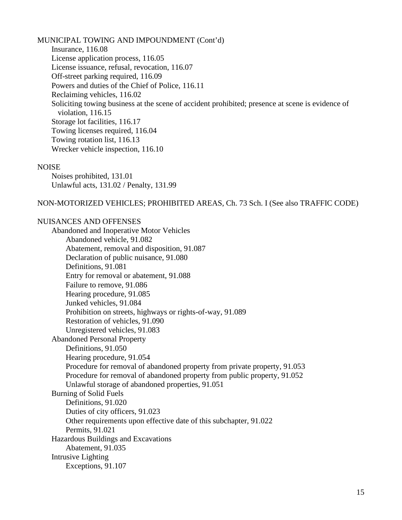MUNICIPAL TOWING AND IMPOUNDMENT (Cont'd) Insurance, 116.08 License application process, 116.05 License issuance, refusal, revocation, 116.07 Off-street parking required, 116.09 Powers and duties of the Chief of Police, 116.11 Reclaiming vehicles, 116.02 Soliciting towing business at the scene of accident prohibited; presence at scene is evidence of violation, 116.15 Storage lot facilities, 116.17 Towing licenses required, 116.04 Towing rotation list, 116.13 Wrecker vehicle inspection, 116.10

#### **NOISE**

Noises prohibited, 131.01 Unlawful acts, 131.02 / Penalty, 131.99

NON-MOTORIZED VEHICLES; PROHIBITED AREAS, Ch. 73 Sch. I (See also TRAFFIC CODE)

## NUISANCES AND OFFENSES

Abandoned and Inoperative Motor Vehicles Abandoned vehicle, 91.082 Abatement, removal and disposition, 91.087 Declaration of public nuisance, 91.080 Definitions, 91.081 Entry for removal or abatement, 91.088 Failure to remove, 91.086 Hearing procedure, 91.085 Junked vehicles, 91.084 Prohibition on streets, highways or rights-of-way, 91.089 Restoration of vehicles, 91.090 Unregistered vehicles, 91.083 Abandoned Personal Property Definitions, 91.050 Hearing procedure, 91.054 Procedure for removal of abandoned property from private property, 91.053 Procedure for removal of abandoned property from public property, 91.052 Unlawful storage of abandoned properties, 91.051 Burning of Solid Fuels Definitions, 91.020 Duties of city officers, 91.023 Other requirements upon effective date of this subchapter, 91.022 Permits, 91.021 Hazardous Buildings and Excavations Abatement, 91.035 Intrusive Lighting Exceptions, 91.107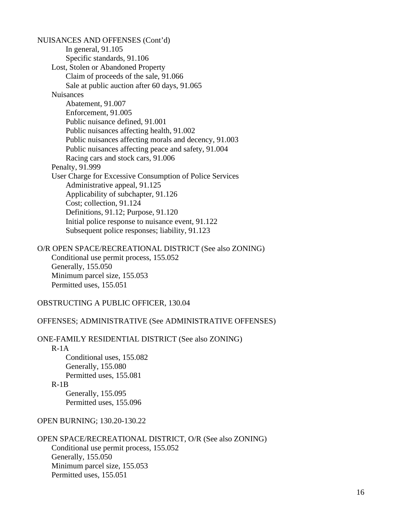NUISANCES AND OFFENSES (Cont'd) In general, 91.105 Specific standards, 91.106 Lost, Stolen or Abandoned Property Claim of proceeds of the sale, 91.066 Sale at public auction after 60 days, 91.065 Nuisances Abatement, 91.007 Enforcement, 91.005 Public nuisance defined, 91.001 Public nuisances affecting health, 91.002 Public nuisances affecting morals and decency, 91.003 Public nuisances affecting peace and safety, 91.004 Racing cars and stock cars, 91.006 Penalty, 91.999 User Charge for Excessive Consumption of Police Services Administrative appeal, 91.125 Applicability of subchapter, 91.126 Cost; collection, 91.124 Definitions, 91.12; Purpose, 91.120 Initial police response to nuisance event, 91.122 Subsequent police responses; liability, 91.123

O/R OPEN SPACE/RECREATIONAL DISTRICT (See also ZONING) Conditional use permit process, 155.052 Generally, 155.050 Minimum parcel size, 155.053 Permitted uses, 155.051

OBSTRUCTING A PUBLIC OFFICER, 130.04

#### OFFENSES; ADMINISTRATIVE (See ADMINISTRATIVE OFFENSES)

ONE-FAMILY RESIDENTIAL DISTRICT (See also ZONING)

R-1A

Conditional uses, 155.082 Generally, 155.080 Permitted uses, 155.081

R-1B

Generally, 155.095 Permitted uses, 155.096

OPEN BURNING; 130.20-130.22

OPEN SPACE/RECREATIONAL DISTRICT, O/R (See also ZONING) Conditional use permit process, 155.052 Generally, 155.050 Minimum parcel size, 155.053 Permitted uses, 155.051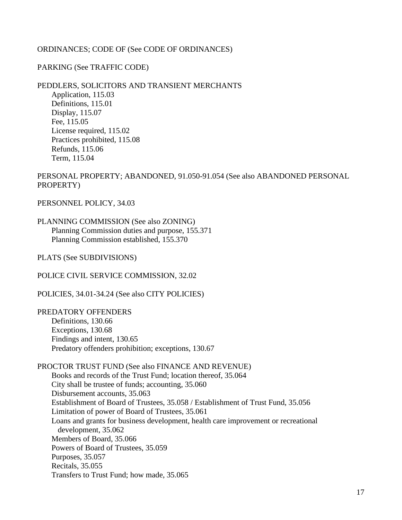# ORDINANCES; CODE OF (See CODE OF ORDINANCES)

# PARKING (See TRAFFIC CODE)

# PEDDLERS, SOLICITORS AND TRANSIENT MERCHANTS

Application, 115.03 Definitions, 115.01 Display, 115.07 Fee, 115.05 License required, 115.02 Practices prohibited, 115.08 Refunds, 115.06 Term, 115.04

PERSONAL PROPERTY; ABANDONED, 91.050-91.054 (See also ABANDONED PERSONAL PROPERTY)

PERSONNEL POLICY, 34.03

# PLANNING COMMISSION (See also ZONING) Planning Commission duties and purpose, 155.371 Planning Commission established, 155.370

PLATS (See SUBDIVISIONS)

POLICE CIVIL SERVICE COMMISSION, 32.02

POLICIES, 34.01-34.24 (See also CITY POLICIES)

# PREDATORY OFFENDERS

Definitions, 130.66 Exceptions, 130.68 Findings and intent, 130.65 Predatory offenders prohibition; exceptions, 130.67

PROCTOR TRUST FUND (See also FINANCE AND REVENUE) Books and records of the Trust Fund; location thereof, 35.064 City shall be trustee of funds; accounting, 35.060 Disbursement accounts, 35.063 Establishment of Board of Trustees, 35.058 / Establishment of Trust Fund, 35.056 Limitation of power of Board of Trustees, 35.061 Loans and grants for business development, health care improvement or recreational development, 35.062 Members of Board, 35.066 Powers of Board of Trustees, 35.059 Purposes, 35.057 Recitals, 35.055 Transfers to Trust Fund; how made, 35.065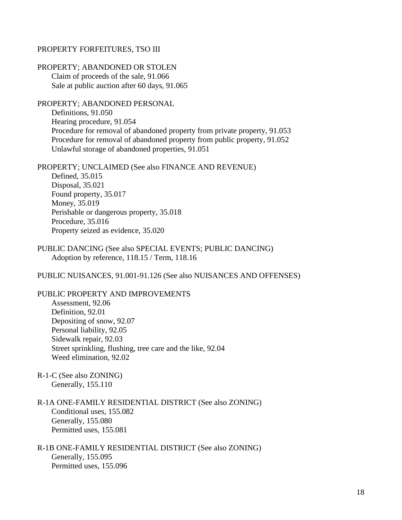#### PROPERTY FORFEITURES, TSO III

PROPERTY; ABANDONED OR STOLEN Claim of proceeds of the sale, 91.066 Sale at public auction after 60 days, 91.065

PROPERTY; ABANDONED PERSONAL Definitions, 91.050 Hearing procedure, 91.054 Procedure for removal of abandoned property from private property, 91.053 Procedure for removal of abandoned property from public property, 91.052 Unlawful storage of abandoned properties, 91.051

PROPERTY; UNCLAIMED (See also FINANCE AND REVENUE) Defined, 35.015 Disposal, 35.021 Found property, 35.017 Money, 35.019 Perishable or dangerous property, 35.018 Procedure, 35.016 Property seized as evidence, 35.020

## PUBLIC DANCING (See also SPECIAL EVENTS; PUBLIC DANCING) Adoption by reference, 118.15 / Term, 118.16

PUBLIC NUISANCES, 91.001-91.126 (See also NUISANCES AND OFFENSES)

## PUBLIC PROPERTY AND IMPROVEMENTS

Assessment, 92.06 Definition, 92.01 Depositing of snow, 92.07 Personal liability, 92.05 Sidewalk repair, 92.03 Street sprinkling, flushing, tree care and the like, 92.04 Weed elimination, 92.02

R-1-C (See also ZONING) Generally, 155.110

R-1A ONE-FAMILY RESIDENTIAL DISTRICT (See also ZONING) Conditional uses, 155.082 Generally, 155.080 Permitted uses, 155.081

# R-1B ONE-FAMILY RESIDENTIAL DISTRICT (See also ZONING) Generally, 155.095 Permitted uses, 155.096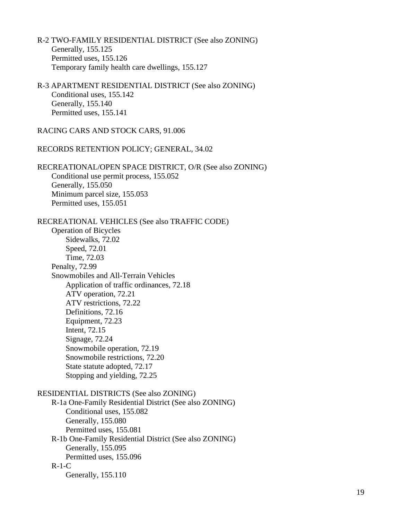- R-2 TWO-FAMILY RESIDENTIAL DISTRICT (See also ZONING) Generally, 155.125 Permitted uses, 155.126 Temporary family health care dwellings, 155.127
- R-3 APARTMENT RESIDENTIAL DISTRICT (See also ZONING) Conditional uses, 155.142 Generally, 155.140 Permitted uses, 155.141

RACING CARS AND STOCK CARS, 91.006

RECORDS RETENTION POLICY; GENERAL, 34.02

RECREATIONAL/OPEN SPACE DISTRICT, O/R (See also ZONING) Conditional use permit process, 155.052 Generally, 155.050 Minimum parcel size, 155.053 Permitted uses, 155.051

RECREATIONAL VEHICLES (See also TRAFFIC CODE)

Operation of Bicycles Sidewalks, 72.02 Speed, 72.01 Time, 72.03 Penalty, 72.99 Snowmobiles and All-Terrain Vehicles Application of traffic ordinances, 72.18 ATV operation, 72.21 ATV restrictions, 72.22 Definitions, 72.16 Equipment, 72.23 Intent, 72.15 Signage, 72.24 Snowmobile operation, 72.19 Snowmobile restrictions, 72.20 State statute adopted, 72.17 Stopping and yielding, 72.25

RESIDENTIAL DISTRICTS (See also ZONING)

R-1a One-Family Residential District (See also ZONING) Conditional uses, 155.082 Generally, 155.080 Permitted uses, 155.081 R-1b One-Family Residential District (See also ZONING) Generally, 155.095 Permitted uses, 155.096 R-1-C Generally, 155.110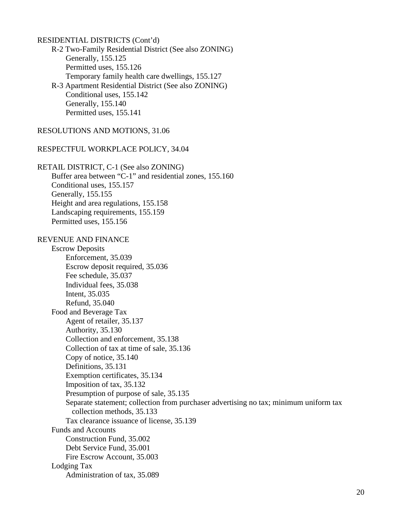RESIDENTIAL DISTRICTS (Cont'd) R-2 Two-Family Residential District (See also ZONING) Generally, 155.125 Permitted uses, 155.126 Temporary family health care dwellings, 155.127 R-3 Apartment Residential District (See also ZONING) Conditional uses, 155.142 Generally, 155.140 Permitted uses, 155.141 RESOLUTIONS AND MOTIONS, 31.06 RESPECTFUL WORKPLACE POLICY, 34.04 RETAIL DISTRICT, C-1 (See also ZONING) Buffer area between "C-1" and residential zones, 155.160 Conditional uses, 155.157 Generally, 155.155 Height and area regulations, 155.158 Landscaping requirements, 155.159 Permitted uses, 155.156 REVENUE AND FINANCE Escrow Deposits Enforcement, 35.039 Escrow deposit required, 35.036 Fee schedule, 35.037 Individual fees, 35.038 Intent, 35.035 Refund, 35.040 Food and Beverage Tax Agent of retailer, 35.137 Authority, 35.130 Collection and enforcement, 35.138 Collection of tax at time of sale, 35.136 Copy of notice, 35.140 Definitions, 35.131 Exemption certificates, 35.134 Imposition of tax, 35.132 Presumption of purpose of sale, 35.135 Separate statement; collection from purchaser advertising no tax; minimum uniform tax collection methods, 35.133 Tax clearance issuance of license, 35.139 Funds and Accounts Construction Fund, 35.002 Debt Service Fund, 35.001 Fire Escrow Account, 35.003 Lodging Tax Administration of tax, 35.089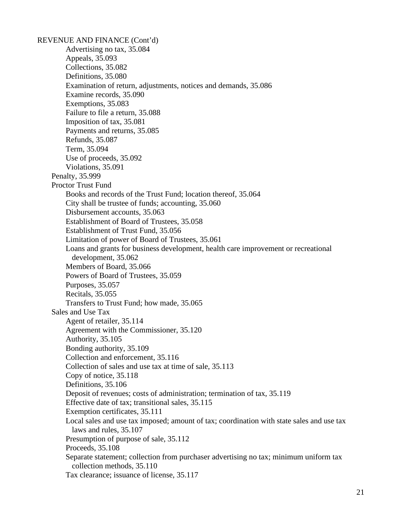REVENUE AND FINANCE (Cont'd) Advertising no tax, 35.084 Appeals, 35.093 Collections, 35.082 Definitions, 35.080 Examination of return, adjustments, notices and demands, 35.086 Examine records, 35.090 Exemptions, 35.083 Failure to file a return, 35.088 Imposition of tax, 35.081 Payments and returns, 35.085 Refunds, 35.087 Term, 35.094 Use of proceeds, 35.092 Violations, 35.091 Penalty, 35.999 Proctor Trust Fund Books and records of the Trust Fund; location thereof, 35.064 City shall be trustee of funds; accounting, 35.060 Disbursement accounts, 35.063 Establishment of Board of Trustees, 35.058 Establishment of Trust Fund, 35.056 Limitation of power of Board of Trustees, 35.061 Loans and grants for business development, health care improvement or recreational development, 35.062 Members of Board, 35.066 Powers of Board of Trustees, 35.059 Purposes, 35.057 Recitals, 35.055 Transfers to Trust Fund; how made, 35.065 Sales and Use Tax Agent of retailer, 35.114 Agreement with the Commissioner, 35.120 Authority, 35.105 Bonding authority, 35.109 Collection and enforcement, 35.116 Collection of sales and use tax at time of sale, 35.113 Copy of notice, 35.118 Definitions, 35.106 Deposit of revenues; costs of administration; termination of tax, 35.119 Effective date of tax; transitional sales, 35.115 Exemption certificates, 35.111 Local sales and use tax imposed; amount of tax; coordination with state sales and use tax laws and rules, 35.107 Presumption of purpose of sale, 35.112 Proceeds, 35.108 Separate statement; collection from purchaser advertising no tax; minimum uniform tax collection methods, 35.110 Tax clearance; issuance of license, 35.117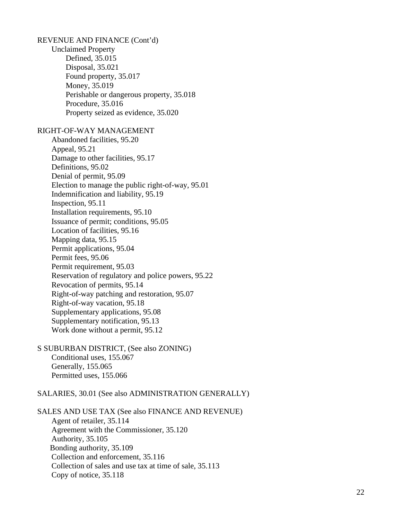| REVENUE AND FINANCE (Cont'd)                        |
|-----------------------------------------------------|
| <b>Unclaimed Property</b>                           |
| Defined, 35.015                                     |
| Disposal, 35.021                                    |
| Found property, 35.017                              |
| Money, 35.019                                       |
| Perishable or dangerous property, 35.018            |
| Procedure, 35.016                                   |
| Property seized as evidence, 35.020                 |
| RIGHT-OF-WAY MANAGEMENT                             |
| Abandoned facilities, 95.20                         |
| Appeal, 95.21                                       |
| Damage to other facilities, 95.17                   |
| Definitions, 95.02                                  |
| Denial of permit, 95.09                             |
| Election to manage the public right-of-way, 95.01   |
| Indemnification and liability, 95.19                |
| Inspection, 95.11                                   |
| Installation requirements, 95.10                    |
| Issuance of permit; conditions, 95.05               |
| Location of facilities, 95.16                       |
| Mapping data, 95.15                                 |
| Permit applications, 95.04                          |
| Permit fees, 95.06                                  |
| Permit requirement, 95.03                           |
| Reservation of regulatory and police powers, 95.22  |
| Revocation of permits, 95.14                        |
| Right-of-way patching and restoration, 95.07        |
| Right-of-way vacation, 95.18                        |
| Supplementary applications, 95.08                   |
| Supplementary notification, 95.13                   |
| Work done without a permit, 95.12                   |
| S SUBURBAN DISTRICT, (See also ZONING)              |
| Conditional uses, 155.067                           |
| Generally, 155.065<br>Permitted uses, 155.066       |
| SALARIES, 30.01 (See also ADMINISTRATION GENERALLY) |
|                                                     |
|                                                     |

SALES AND USE TAX (See also FINANCE AND REVENUE) Agent of retailer, 35.114 Agreement with the Commissioner, 35.120 Authority, 35.105 Bonding authority, 35.109 Collection and enforcement, 35.116 Collection of sales and use tax at time of sale, 35.113 Copy of notice, 35.118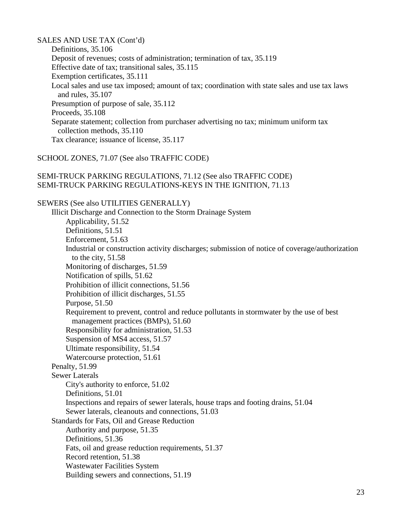SALES AND USE TAX (Cont'd) Definitions, 35.106 Deposit of revenues; costs of administration; termination of tax, 35.119 Effective date of tax; transitional sales, 35.115 Exemption certificates, 35.111 Local sales and use tax imposed; amount of tax; coordination with state sales and use tax laws and rules, 35.107 Presumption of purpose of sale, 35.112 Proceeds, 35.108 Separate statement; collection from purchaser advertising no tax; minimum uniform tax collection methods, 35.110 Tax clearance; issuance of license, 35.117

## SCHOOL ZONES, 71.07 (See also TRAFFIC CODE)

## SEMI-TRUCK PARKING REGULATIONS, 71.12 (See also TRAFFIC CODE) SEMI-TRUCK PARKING REGULATIONS-KEYS IN THE IGNITION, 71.13

SEWERS (See also UTILITIES GENERALLY) Illicit Discharge and Connection to the Storm Drainage System Applicability, 51.52 Definitions, 51.51 Enforcement, 51.63 Industrial or construction activity discharges; submission of notice of coverage/authorization to the city, 51.58 Monitoring of discharges, 51.59 Notification of spills, 51.62 Prohibition of illicit connections, 51.56 Prohibition of illicit discharges, 51.55 Purpose, 51.50 Requirement to prevent, control and reduce pollutants in stormwater by the use of best management practices (BMPs), 51.60 Responsibility for administration, 51.53 Suspension of MS4 access, 51.57 Ultimate responsibility, 51.54 Watercourse protection, 51.61 Penalty, 51.99 Sewer Laterals City's authority to enforce, 51.02 Definitions, 51.01 Inspections and repairs of sewer laterals, house traps and footing drains, 51.04 Sewer laterals, cleanouts and connections, 51.03 Standards for Fats, Oil and Grease Reduction Authority and purpose, 51.35 Definitions, 51.36 Fats, oil and grease reduction requirements, 51.37 Record retention, 51.38 Wastewater Facilities System Building sewers and connections, 51.19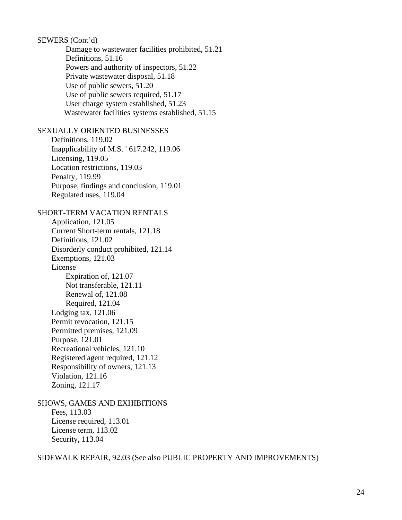SEWERS (Cont'd) Damage to wastewater facilities prohibited, 51.21 Definitions, 51.16 Powers and authority of inspectors, 51.22 Private wastewater disposal, 51.18 Use of public sewers, 51.20 Use of public sewers required, 51.17 User charge system established, 51.23 Wastewater facilities systems established, 51.15 SEXUALLY ORIENTED BUSINESSES Definitions, 119.02 Inapplicability of M.S. ' 617.242, 119.06 Licensing, 119.05 Location restrictions, 119.03 Penalty, 119.99 Purpose, findings and conclusion, 119.01 Regulated uses, 119.04 SHORT-TERM VACATION RENTALS Application, 121.05 Current Short-term rentals, 121.18 Definitions, 121.02 Disorderly conduct prohibited, 121.14 Exemptions, 121.03 License Expiration of, 121.07 Not transferable, 121.11 Renewal of, 121.08 Required, 121.04 Lodging tax, 121.06 Permit revocation, 121.15 Permitted premises, 121.09 Purpose, 121.01 Recreational vehicles, 121.10 Registered agent required, 121.12 Responsibility of owners, 121.13 Violation, 121.16 Zoning, 121.17 SHOWS, GAMES AND EXHIBITIONS Fees, 113.03

License required, 113.01 License term, 113.02 Security, 113.04

SIDEWALK REPAIR, 92.03 (See also PUBLIC PROPERTY AND IMPROVEMENTS)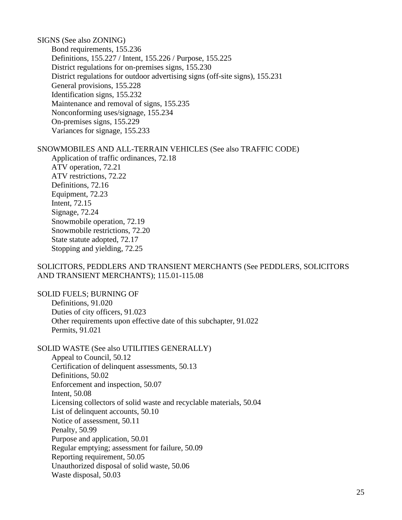SIGNS (See also ZONING) Bond requirements, 155.236 Definitions, 155.227 / Intent, 155.226 / Purpose, 155.225 District regulations for on-premises signs, 155.230 District regulations for outdoor advertising signs (off-site signs), 155.231 General provisions, 155.228 Identification signs, 155.232 Maintenance and removal of signs, 155.235 Nonconforming uses/signage, 155.234 On-premises signs, 155.229 Variances for signage, 155.233

## SNOWMOBILES AND ALL-TERRAIN VEHICLES (See also TRAFFIC CODE)

Application of traffic ordinances, 72.18 ATV operation, 72.21 ATV restrictions, 72.22 Definitions, 72.16 Equipment, 72.23 Intent, 72.15 Signage, 72.24 Snowmobile operation, 72.19 Snowmobile restrictions, 72.20 State statute adopted, 72.17 Stopping and yielding, 72.25

## SOLICITORS, PEDDLERS AND TRANSIENT MERCHANTS (See PEDDLERS, SOLICITORS AND TRANSIENT MERCHANTS); 115.01-115.08

SOLID FUELS; BURNING OF Definitions, 91.020 Duties of city officers, 91.023 Other requirements upon effective date of this subchapter, 91.022 Permits, 91.021

SOLID WASTE (See also UTILITIES GENERALLY) Appeal to Council, 50.12 Certification of delinquent assessments, 50.13 Definitions, 50.02 Enforcement and inspection, 50.07 Intent, 50.08 Licensing collectors of solid waste and recyclable materials, 50.04 List of delinquent accounts, 50.10 Notice of assessment, 50.11 Penalty, 50.99 Purpose and application, 50.01 Regular emptying; assessment for failure, 50.09 Reporting requirement, 50.05 Unauthorized disposal of solid waste, 50.06 Waste disposal, 50.03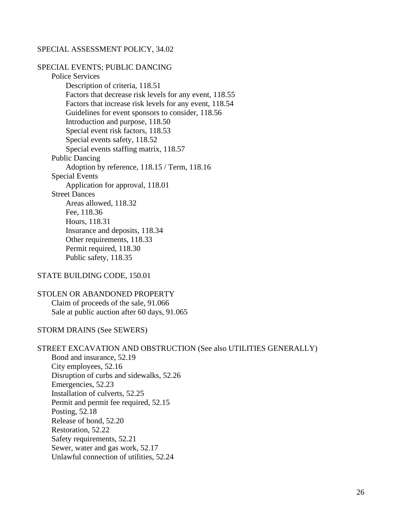#### SPECIAL ASSESSMENT POLICY, 34.02

SPECIAL EVENTS; PUBLIC DANCING Police Services Description of criteria, 118.51 Factors that decrease risk levels for any event, 118.55 Factors that increase risk levels for any event, 118.54 Guidelines for event sponsors to consider, 118.56 Introduction and purpose, 118.50 Special event risk factors, 118.53 Special events safety, 118.52 Special events staffing matrix, 118.57 Public Dancing Adoption by reference, 118.15 / Term, 118.16 Special Events Application for approval, 118.01 Street Dances Areas allowed, 118.32 Fee, 118.36 Hours, 118.31 Insurance and deposits, 118.34 Other requirements, 118.33 Permit required, 118.30 Public safety, 118.35

## STATE BUILDING CODE, 150.01

# STOLEN OR ABANDONED PROPERTY Claim of proceeds of the sale, 91.066 Sale at public auction after 60 days, 91.065

#### STORM DRAINS (See SEWERS)

#### STREET EXCAVATION AND OBSTRUCTION (See also UTILITIES GENERALLY)

Bond and insurance, 52.19 City employees, 52.16 Disruption of curbs and sidewalks, 52.26 Emergencies, 52.23 Installation of culverts, 52.25 Permit and permit fee required, 52.15 Posting, 52.18 Release of bond, 52.20 Restoration, 52.22 Safety requirements, 52.21 Sewer, water and gas work, 52.17 Unlawful connection of utilities, 52.24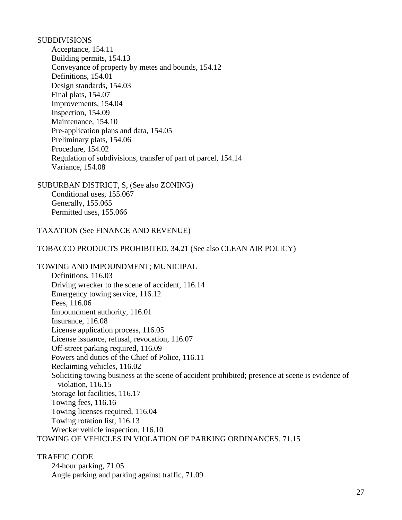# SUBDIVISIONS

Acceptance, 154.11 Building permits, 154.13 Conveyance of property by metes and bounds, 154.12 Definitions, 154.01 Design standards, 154.03 Final plats, 154.07 Improvements, 154.04 Inspection, 154.09 Maintenance, 154.10 Pre-application plans and data, 154.05 Preliminary plats, 154.06 Procedure, 154.02 Regulation of subdivisions, transfer of part of parcel, 154.14 Variance, 154.08

SUBURBAN DISTRICT, S, (See also ZONING) Conditional uses, 155.067 Generally, 155.065 Permitted uses, 155.066

TAXATION (See FINANCE AND REVENUE)

TOBACCO PRODUCTS PROHIBITED, 34.21 (See also CLEAN AIR POLICY)

TOWING AND IMPOUNDMENT; MUNICIPAL Definitions, 116.03 Driving wrecker to the scene of accident, 116.14 Emergency towing service, 116.12 Fees, 116.06 Impoundment authority, 116.01 Insurance, 116.08 License application process, 116.05 License issuance, refusal, revocation, 116.07 Off-street parking required, 116.09 Powers and duties of the Chief of Police, 116.11 Reclaiming vehicles, 116.02 Soliciting towing business at the scene of accident prohibited; presence at scene is evidence of violation, 116.15 Storage lot facilities, 116.17 Towing fees, 116.16 Towing licenses required, 116.04 Towing rotation list, 116.13 Wrecker vehicle inspection, 116.10 TOWING OF VEHICLES IN VIOLATION OF PARKING ORDINANCES, 71.15

TRAFFIC CODE 24-hour parking, 71.05 Angle parking and parking against traffic, 71.09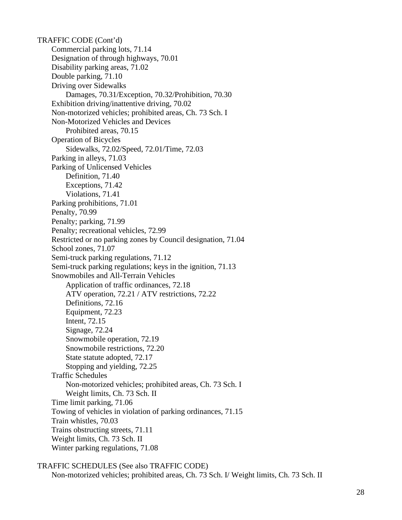TRAFFIC CODE (Cont'd) Commercial parking lots, 71.14 Designation of through highways, 70.01 Disability parking areas, 71.02 Double parking, 71.10 Driving over Sidewalks Damages, 70.31/Exception, 70.32/Prohibition, 70.30 Exhibition driving/inattentive driving, 70.02 Non-motorized vehicles; prohibited areas, Ch. 73 Sch. I Non-Motorized Vehicles and Devices Prohibited areas, 70.15 Operation of Bicycles Sidewalks, 72.02/Speed, 72.01/Time, 72.03 Parking in alleys, 71.03 Parking of Unlicensed Vehicles Definition, 71.40 Exceptions, 71.42 Violations, 71.41 Parking prohibitions, 71.01 Penalty, 70.99 Penalty; parking, 71.99 Penalty; recreational vehicles, 72.99 Restricted or no parking zones by Council designation, 71.04 School zones, 71.07 Semi-truck parking regulations, 71.12 Semi-truck parking regulations; keys in the ignition, 71.13 Snowmobiles and All-Terrain Vehicles Application of traffic ordinances, 72.18 ATV operation, 72.21 / ATV restrictions, 72.22 Definitions, 72.16 Equipment, 72.23 Intent, 72.15 Signage, 72.24 Snowmobile operation, 72.19 Snowmobile restrictions, 72.20 State statute adopted, 72.17 Stopping and yielding, 72.25 Traffic Schedules Non-motorized vehicles; prohibited areas, Ch. 73 Sch. I Weight limits, Ch. 73 Sch. II Time limit parking, 71.06 Towing of vehicles in violation of parking ordinances, 71.15 Train whistles, 70.03 Trains obstructing streets, 71.11 Weight limits, Ch. 73 Sch. II Winter parking regulations, 71.08

```
TRAFFIC SCHEDULES (See also TRAFFIC CODE)
Non-motorized vehicles; prohibited areas, Ch. 73 Sch. I/ Weight limits, Ch. 73 Sch. II
```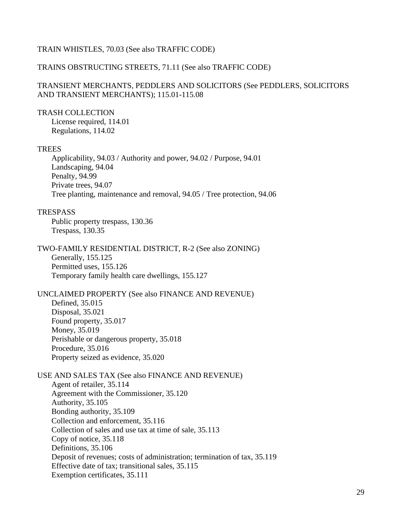## TRAIN WHISTLES, 70.03 (See also TRAFFIC CODE)

#### TRAINS OBSTRUCTING STREETS, 71.11 (See also TRAFFIC CODE)

## TRANSIENT MERCHANTS, PEDDLERS AND SOLICITORS (See PEDDLERS, SOLICITORS AND TRANSIENT MERCHANTS); 115.01-115.08

## TRASH COLLECTION

License required, 114.01 Regulations, 114.02

#### **TREES**

Applicability, 94.03 / Authority and power, 94.02 / Purpose, 94.01 Landscaping, 94.04 Penalty, 94.99 Private trees, 94.07 Tree planting, maintenance and removal, 94.05 / Tree protection, 94.06

#### **TRESPASS**

Public property trespass, 130.36 Trespass, 130.35

TWO-FAMILY RESIDENTIAL DISTRICT, R-2 (See also ZONING) Generally, 155.125 Permitted uses, 155.126 Temporary family health care dwellings, 155.127

## UNCLAIMED PROPERTY (See also FINANCE AND REVENUE)

Defined, 35.015 Disposal, 35.021 Found property, 35.017 Money, 35.019 Perishable or dangerous property, 35.018 Procedure, 35.016 Property seized as evidence, 35.020

USE AND SALES TAX (See also FINANCE AND REVENUE) Agent of retailer, 35.114 Agreement with the Commissioner, 35.120 Authority, 35.105 Bonding authority, 35.109 Collection and enforcement, 35.116 Collection of sales and use tax at time of sale, 35.113 Copy of notice, 35.118 Definitions, 35.106 Deposit of revenues; costs of administration; termination of tax, 35.119 Effective date of tax; transitional sales, 35.115 Exemption certificates, 35.111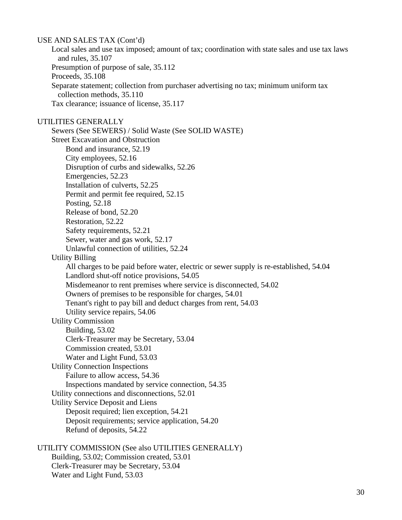USE AND SALES TAX (Cont'd) Local sales and use tax imposed; amount of tax; coordination with state sales and use tax laws and rules, 35.107 Presumption of purpose of sale, 35.112 Proceeds, 35.108 Separate statement; collection from purchaser advertising no tax; minimum uniform tax collection methods, 35.110 Tax clearance; issuance of license, 35.117 UTILITIES GENERALLY Sewers (See SEWERS) / Solid Waste (See SOLID WASTE) Street Excavation and Obstruction Bond and insurance, 52.19 City employees, 52.16 Disruption of curbs and sidewalks, 52.26 Emergencies, 52.23 Installation of culverts, 52.25 Permit and permit fee required, 52.15 Posting, 52.18 Release of bond, 52.20 Restoration, 52.22 Safety requirements, 52.21 Sewer, water and gas work, 52.17 Unlawful connection of utilities, 52.24 Utility Billing All charges to be paid before water, electric or sewer supply is re-established, 54.04 Landlord shut-off notice provisions, 54.05 Misdemeanor to rent premises where service is disconnected, 54.02 Owners of premises to be responsible for charges, 54.01 Tenant's right to pay bill and deduct charges from rent, 54.03 Utility service repairs, 54.06 Utility Commission Building, 53.02 Clerk-Treasurer may be Secretary, 53.04 Commission created, 53.01 Water and Light Fund, 53.03 Utility Connection Inspections Failure to allow access, 54.36 Inspections mandated by service connection, 54.35 Utility connections and disconnections, 52.01 Utility Service Deposit and Liens Deposit required; lien exception, 54.21 Deposit requirements; service application, 54.20 Refund of deposits, 54.22 UTILITY COMMISSION (See also UTILITIES GENERALLY) Building, 53.02; Commission created, 53.01 Clerk-Treasurer may be Secretary, 53.04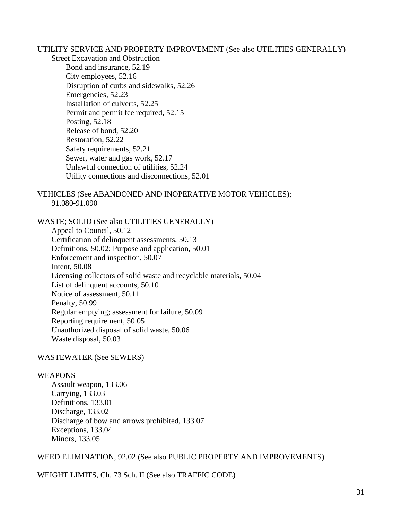UTILITY SERVICE AND PROPERTY IMPROVEMENT (See also UTILITIES GENERALLY)

Street Excavation and Obstruction Bond and insurance, 52.19 City employees, 52.16 Disruption of curbs and sidewalks, 52.26 Emergencies, 52.23 Installation of culverts, 52.25 Permit and permit fee required, 52.15 Posting, 52.18 Release of bond, 52.20 Restoration, 52.22 Safety requirements, 52.21 Sewer, water and gas work, 52.17 Unlawful connection of utilities, 52.24 Utility connections and disconnections, 52.01

# VEHICLES (See ABANDONED AND INOPERATIVE MOTOR VEHICLES); 91.080-91.090

WASTE; SOLID (See also UTILITIES GENERALLY) Appeal to Council, 50.12 Certification of delinquent assessments, 50.13 Definitions, 50.02; Purpose and application, 50.01 Enforcement and inspection, 50.07 Intent, 50.08 Licensing collectors of solid waste and recyclable materials, 50.04 List of delinquent accounts, 50.10 Notice of assessment, 50.11 Penalty, 50.99 Regular emptying; assessment for failure, 50.09 Reporting requirement, 50.05 Unauthorized disposal of solid waste, 50.06 Waste disposal, 50.03

## WASTEWATER (See SEWERS)

## WEAPONS

Assault weapon, 133.06 Carrying, 133.03 Definitions, 133.01 Discharge, 133.02 Discharge of bow and arrows prohibited, 133.07 Exceptions, 133.04 Minors, 133.05

WEED ELIMINATION, 92.02 (See also PUBLIC PROPERTY AND IMPROVEMENTS)

WEIGHT LIMITS, Ch. 73 Sch. II (See also TRAFFIC CODE)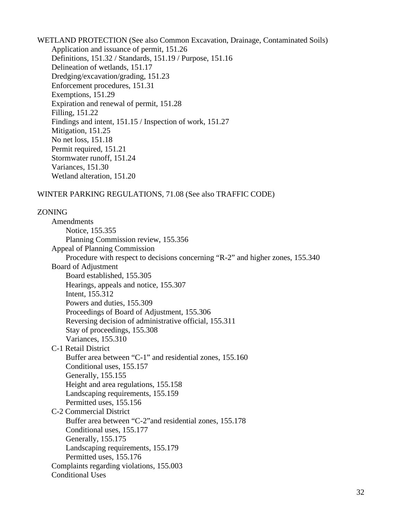WETLAND PROTECTION (See also Common Excavation, Drainage, Contaminated Soils) Application and issuance of permit, 151.26 Definitions, 151.32 / Standards, 151.19 / Purpose, 151.16 Delineation of wetlands, 151.17 Dredging/excavation/grading, 151.23 Enforcement procedures, 151.31 Exemptions, 151.29 Expiration and renewal of permit, 151.28 Filling, 151.22 Findings and intent, 151.15 / Inspection of work, 151.27 Mitigation, 151.25 No net loss, 151.18 Permit required, 151.21 Stormwater runoff, 151.24 Variances, 151.30 Wetland alteration, 151.20

# WINTER PARKING REGULATIONS, 71.08 (See also TRAFFIC CODE)

#### ZONING

| Amendments                                                                     |
|--------------------------------------------------------------------------------|
| Notice, 155.355                                                                |
| Planning Commission review, 155.356                                            |
| Appeal of Planning Commission                                                  |
| Procedure with respect to decisions concerning "R-2" and higher zones, 155.340 |
| Board of Adjustment                                                            |
| Board established, 155.305                                                     |
| Hearings, appeals and notice, 155.307                                          |
| Intent, 155.312                                                                |
| Powers and duties, 155.309                                                     |
| Proceedings of Board of Adjustment, 155.306                                    |
| Reversing decision of administrative official, 155.311                         |
| Stay of proceedings, 155.308                                                   |
| Variances, 155.310                                                             |
| C-1 Retail District                                                            |
| Buffer area between "C-1" and residential zones, 155.160                       |
| Conditional uses, 155.157                                                      |
| Generally, 155.155                                                             |
| Height and area regulations, 155.158                                           |
| Landscaping requirements, 155.159                                              |
| Permitted uses, 155.156                                                        |
| C-2 Commercial District                                                        |
| Buffer area between "C-2" and residential zones, 155.178                       |
| Conditional uses, 155.177                                                      |
| Generally, 155.175                                                             |
| Landscaping requirements, 155.179                                              |
| Permitted uses, 155.176                                                        |
| Complaints regarding violations, 155.003                                       |
| <b>Conditional Uses</b>                                                        |
|                                                                                |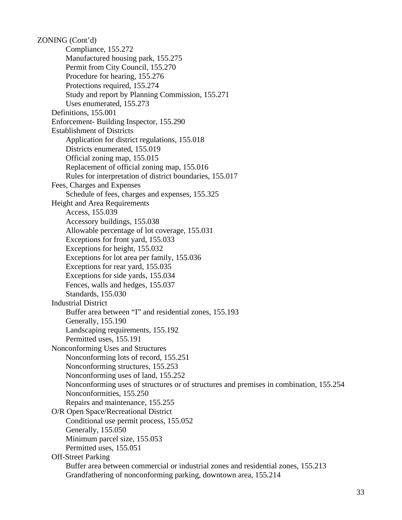ZONING (Cont'd) Compliance, 155.272 Manufactured housing park, 155.275 Permit from City Council, 155.270 Procedure for hearing, 155.276 Protections required, 155.274 Study and report by Planning Commission, 155.271 Uses enumerated, 155.273 Definitions, 155.001 Enforcement- Building Inspector, 155.290 Establishment of Districts Application for district regulations, 155.018 Districts enumerated, 155.019 Official zoning map, 155.015 Replacement of official zoning map, 155.016 Rules for interpretation of district boundaries, 155.017 Fees, Charges and Expenses Schedule of fees, charges and expenses, 155.325 Height and Area Requirements Access, 155.039 Accessory buildings, 155.038 Allowable percentage of lot coverage, 155.031 Exceptions for front yard, 155.033 Exceptions for height, 155.032 Exceptions for lot area per family, 155.036 Exceptions for rear yard, 155.035 Exceptions for side yards, 155.034 Fences, walls and hedges, 155.037 Standards, 155.030 Industrial District Buffer area between "I" and residential zones, 155.193 Generally, 155.190 Landscaping requirements, 155.192 Permitted uses, 155.191 Nonconforming Uses and Structures Nonconforming lots of record, 155.251 Nonconforming structures, 155.253 Nonconforming uses of land, 155.252 Nonconforming uses of structures or of structures and premises in combination, 155.254 Nonconformities, 155.250 Repairs and maintenance, 155.255 O/R Open Space/Recreational District Conditional use permit process, 155.052 Generally, 155.050 Minimum parcel size, 155.053 Permitted uses, 155.051 Off-Street Parking Buffer area between commercial or industrial zones and residential zones, 155.213 Grandfathering of nonconforming parking, downtown area, 155.214